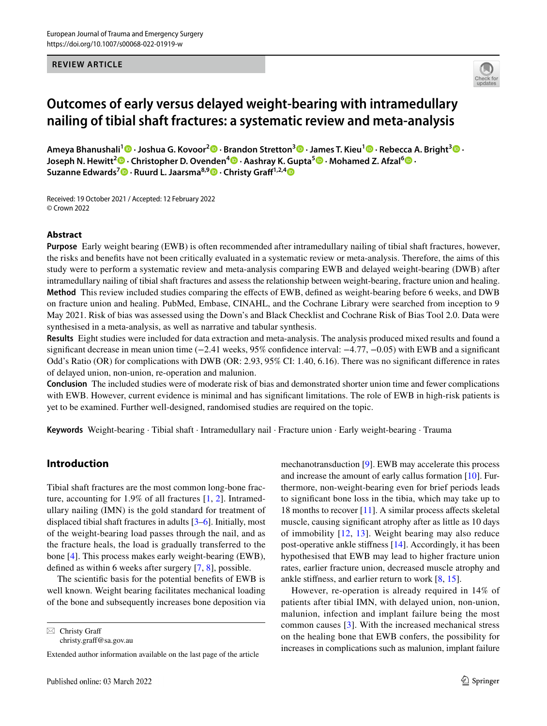#### **REVIEW ARTICLE**



# **Outcomes of early versus delayed weight‑bearing with intramedullary nailing of tibial shaft fractures: a systematic review and meta‑analysis**

**Ameya Bhanushali1  [·](http://orcid.org/0000-0002-9301-0405) Joshua G. Kovoor2 · Brandon Stretton3 · James T. Kieu1  [·](http://orcid.org/0000-0002-8483-2685) Rebecca A. Bright<sup>3</sup> · JosephN. Hewitt<sup>2</sup> <b>D** · Christopher D. Ovenden<sup>4</sup> **D** · Aashray K. Gupta<sup>5</sup> **D** · Mohamed Z. Afzal<sup>6</sup> **D** · **Suzanne Edwards<sup>7</sup>  [·](http://orcid.org/0000-0003-2074-1685) Ruurd L. Jaarsma8,9 · Christy Graf1,2,[4](http://orcid.org/0000-0003-1820-4426)**

Received: 19 October 2021 / Accepted: 12 February 2022 © Crown 2022

# **Abstract**

**Purpose** Early weight bearing (EWB) is often recommended after intramedullary nailing of tibial shaft fractures, however, the risks and benefts have not been critically evaluated in a systematic review or meta-analysis. Therefore, the aims of this study were to perform a systematic review and meta-analysis comparing EWB and delayed weight-bearing (DWB) after intramedullary nailing of tibial shaft fractures and assess the relationship between weight-bearing, fracture union and healing. **Method** This review included studies comparing the efects of EWB, defned as weight-bearing before 6 weeks, and DWB on fracture union and healing. PubMed, Embase, CINAHL, and the Cochrane Library were searched from inception to 9 May 2021. Risk of bias was assessed using the Down's and Black Checklist and Cochrane Risk of Bias Tool 2.0. Data were synthesised in a meta-analysis, as well as narrative and tabular synthesis.

**Results** Eight studies were included for data extraction and meta-analysis. The analysis produced mixed results and found a significant decrease in mean union time (−2.41 weeks, 95% confidence interval: −4.77, −0.05) with EWB and a significant Odd's Ratio (OR) for complications with DWB (OR: 2.93, 95% CI: 1.40, 6.16). There was no signifcant diference in rates of delayed union, non-union, re-operation and malunion.

**Conclusion** The included studies were of moderate risk of bias and demonstrated shorter union time and fewer complications with EWB. However, current evidence is minimal and has significant limitations. The role of EWB in high-risk patients is yet to be examined. Further well-designed, randomised studies are required on the topic.

**Keywords** Weight-bearing · Tibial shaft · Intramedullary nail · Fracture union · Early weight-bearing · Trauma

# **Introduction**

Tibial shaft fractures are the most common long-bone fracture, accounting for 1.9% of all fractures [\[1,](#page-4-0) [2](#page-5-0)]. Intramedullary nailing (IMN) is the gold standard for treatment of displaced tibial shaft fractures in adults [\[3](#page-5-1)[–6](#page-5-2)]. Initially, most of the weight-bearing load passes through the nail, and as the fracture heals, the load is gradually transferred to the bone [[4\]](#page-5-3). This process makes early weight-bearing (EWB), defned as within 6 weeks after surgery [[7,](#page-5-4) [8\]](#page-5-5), possible.

The scientifc basis for the potential benefts of EWB is well known. Weight bearing facilitates mechanical loading of the bone and subsequently increases bone deposition via

 $\boxtimes$  Christy Graff christy.graf@sa.gov.au mechanotransduction [[9\]](#page-5-6). EWB may accelerate this process and increase the amount of early callus formation [\[10](#page-5-7)]. Furthermore, non-weight-bearing even for brief periods leads to signifcant bone loss in the tibia, which may take up to 18 months to recover  $[11]$  $[11]$ . A similar process affects skeletal muscle, causing signifcant atrophy after as little as 10 days of immobility [\[12,](#page-5-9) [13](#page-5-10)]. Weight bearing may also reduce post-operative ankle stifness [[14\]](#page-5-11). Accordingly, it has been hypothesised that EWB may lead to higher fracture union rates, earlier fracture union, decreased muscle atrophy and ankle stifness, and earlier return to work [[8](#page-5-5), [15](#page-5-12)].

However, re-operation is already required in 14% of patients after tibial IMN, with delayed union, non-union, malunion, infection and implant failure being the most common causes [[3\]](#page-5-1). With the increased mechanical stress on the healing bone that EWB confers, the possibility for increases in complications such as malunion, implant failure

Extended author information available on the last page of the article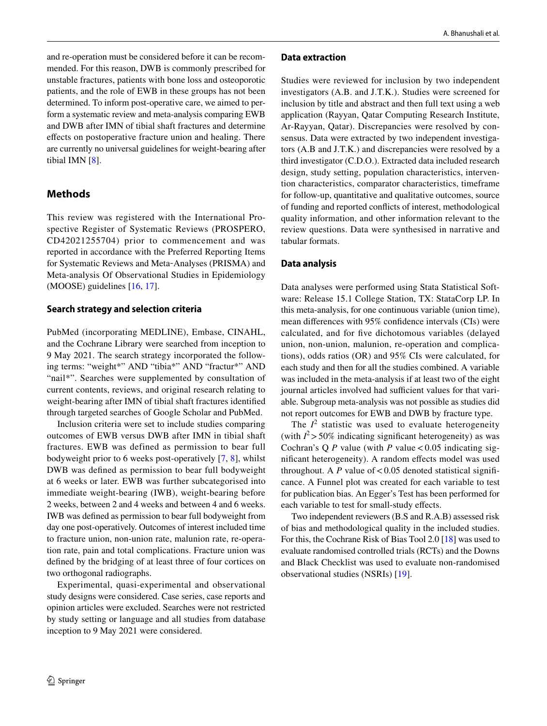and re-operation must be considered before it can be recommended. For this reason, DWB is commonly prescribed for unstable fractures, patients with bone loss and osteoporotic patients, and the role of EWB in these groups has not been determined. To inform post-operative care, we aimed to perform a systematic review and meta-analysis comparing EWB and DWB after IMN of tibial shaft fractures and determine efects on postoperative fracture union and healing. There are currently no universal guidelines for weight-bearing after tibial IMN [[8\]](#page-5-5).

# **Methods**

This review was registered with the International Prospective Register of Systematic Reviews (PROSPERO, CD42021255704) prior to commencement and was reported in accordance with the Preferred Reporting Items for Systematic Reviews and Meta‐Analyses (PRISMA) and Meta-analysis Of Observational Studies in Epidemiology (MOOSE) guidelines [[16,](#page-5-13) [17](#page-5-14)].

# **Search strategy and selection criteria**

PubMed (incorporating MEDLINE), Embase, CINAHL, and the Cochrane Library were searched from inception to 9 May 2021. The search strategy incorporated the following terms: "weight\*" AND "tibia\*" AND "fractur\*" AND "nail\*". Searches were supplemented by consultation of current contents, reviews, and original research relating to weight-bearing after IMN of tibial shaft fractures identifed through targeted searches of Google Scholar and PubMed.

Inclusion criteria were set to include studies comparing outcomes of EWB versus DWB after IMN in tibial shaft fractures. EWB was defined as permission to bear full bodyweight prior to 6 weeks post-operatively [[7,](#page-5-4) [8\]](#page-5-5), whilst DWB was defned as permission to bear full bodyweight at 6 weeks or later. EWB was further subcategorised into immediate weight-bearing (IWB), weight-bearing before 2 weeks, between 2 and 4 weeks and between 4 and 6 weeks. IWB was defned as permission to bear full bodyweight from day one post-operatively. Outcomes of interest included time to fracture union, non-union rate, malunion rate, re-operation rate, pain and total complications. Fracture union was defned by the bridging of at least three of four cortices on two orthogonal radiographs.

Experimental, quasi-experimental and observational study designs were considered. Case series, case reports and opinion articles were excluded. Searches were not restricted by study setting or language and all studies from database inception to 9 May 2021 were considered.

#### **Data extraction**

Studies were reviewed for inclusion by two independent investigators (A.B. and J.T.K.). Studies were screened for inclusion by title and abstract and then full text using a web application (Rayyan, Qatar Computing Research Institute, Ar-Rayyan, Qatar). Discrepancies were resolved by consensus. Data were extracted by two independent investigators (A.B and J.T.K.) and discrepancies were resolved by a third investigator (C.D.O.). Extracted data included research design, study setting, population characteristics, intervention characteristics, comparator characteristics, timeframe for follow-up, quantitative and qualitative outcomes, source of funding and reported conficts of interest, methodological quality information, and other information relevant to the review questions. Data were synthesised in narrative and tabular formats.

# **Data analysis**

Data analyses were performed using Stata Statistical Software: Release 15.1 College Station, TX: StataCorp LP. In this meta-analysis, for one continuous variable (union time), mean diferences with 95% confdence intervals (CIs) were calculated, and for fve dichotomous variables (delayed union, non-union, malunion, re-operation and complications), odds ratios (OR) and 95% CIs were calculated, for each study and then for all the studies combined. A variable was included in the meta-analysis if at least two of the eight journal articles involved had sufficient values for that variable. Subgroup meta-analysis was not possible as studies did not report outcomes for EWB and DWB by fracture type.

The  $I^2$  statistic was used to evaluate heterogeneity (with  $I^2$  > 50% indicating significant heterogeneity) as was Cochran's Q  $P$  value (with  $P$  value < 0.05 indicating signifcant heterogeneity). A random efects model was used throughout. A  $P$  value of  $< 0.05$  denoted statistical significance. A Funnel plot was created for each variable to test for publication bias. An Egger's Test has been performed for each variable to test for small-study effects.

Two independent reviewers (B.S and R.A.B) assessed risk of bias and methodological quality in the included studies. For this, the Cochrane Risk of Bias Tool 2.0 [[18\]](#page-5-15) was used to evaluate randomised controlled trials (RCTs) and the Downs and Black Checklist was used to evaluate non-randomised observational studies (NSRIs) [\[19](#page-5-16)].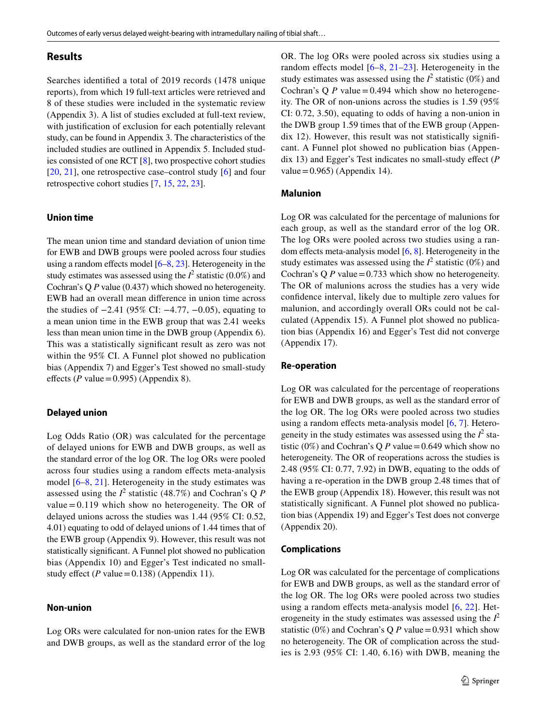# **Results**

Searches identifed a total of 2019 records (1478 unique reports), from which 19 full-text articles were retrieved and 8 of these studies were included in the systematic review (Appendix 3). A list of studies excluded at full-text review, with justifcation of exclusion for each potentially relevant study, can be found in Appendix 3. The characteristics of the included studies are outlined in Appendix 5. Included studies consisted of one RCT [[8\]](#page-5-5), two prospective cohort studies [\[20,](#page-5-17) [21](#page-5-18)], one retrospective case–control study [[6\]](#page-5-2) and four retrospective cohort studies [[7,](#page-5-4) [15,](#page-5-12) [22,](#page-5-19) [23\]](#page-5-20).

#### **Union time**

The mean union time and standard deviation of union time for EWB and DWB groups were pooled across four studies using a random effects model  $[6–8, 23]$  $[6–8, 23]$  $[6–8, 23]$  $[6–8, 23]$  $[6–8, 23]$ . Heterogeneity in the study estimates was assessed using the  $I^2$  statistic (0.0%) and Cochran's Q *P* value (0.437) which showed no heterogeneity. EWB had an overall mean diference in union time across the studies of −2.41 (95% CI: −4.77, −0.05), equating to a mean union time in the EWB group that was 2.41 weeks less than mean union time in the DWB group (Appendix 6). This was a statistically signifcant result as zero was not within the 95% CI. A Funnel plot showed no publication bias (Appendix 7) and Egger's Test showed no small-study effects ( $P$  value = 0.995) (Appendix 8).

#### **Delayed union**

Log Odds Ratio (OR) was calculated for the percentage of delayed unions for EWB and DWB groups, as well as the standard error of the log OR. The log ORs were pooled across four studies using a random efects meta-analysis model [[6–](#page-5-2)[8,](#page-5-5) [21](#page-5-18)]. Heterogeneity in the study estimates was assessed using the  $I^2$  statistic (48.7%) and Cochran's Q *P* value  $= 0.119$  which show no heterogeneity. The OR of delayed unions across the studies was 1.44 (95% CI: 0.52, 4.01) equating to odd of delayed unions of 1.44 times that of the EWB group (Appendix 9). However, this result was not statistically signifcant. A Funnel plot showed no publication bias (Appendix 10) and Egger's Test indicated no smallstudy effect ( $P$  value = 0.138) (Appendix 11).

#### **Non‑union**

Log ORs were calculated for non-union rates for the EWB and DWB groups, as well as the standard error of the log OR. The log ORs were pooled across six studies using a random effects model  $[6-8, 21-23]$  $[6-8, 21-23]$  $[6-8, 21-23]$  $[6-8, 21-23]$  $[6-8, 21-23]$  $[6-8, 21-23]$ . Heterogeneity in the study estimates was assessed using the  $I^2$  statistic (0%) and Cochran's Q  $P$  value = 0.494 which show no heterogeneity. The OR of non-unions across the studies is 1.59 (95% CI: 0.72, 3.50), equating to odds of having a non-union in the DWB group 1.59 times that of the EWB group (Appendix 12). However, this result was not statistically signifcant. A Funnel plot showed no publication bias (Appendix 13) and Egger's Test indicates no small-study efect (*P* value =  $0.965$ ) (Appendix 14).

#### **Malunion**

Log OR was calculated for the percentage of malunions for each group, as well as the standard error of the log OR. The log ORs were pooled across two studies using a random effects meta-analysis model  $[6, 8]$  $[6, 8]$  $[6, 8]$ . Heterogeneity in the study estimates was assessed using the  $I^2$  statistic (0%) and Cochran's Q  $P$  value = 0.733 which show no heterogeneity. The OR of malunions across the studies has a very wide confdence interval, likely due to multiple zero values for malunion, and accordingly overall ORs could not be calculated (Appendix 15). A Funnel plot showed no publication bias (Appendix 16) and Egger's Test did not converge (Appendix 17).

#### **Re‑operation**

Log OR was calculated for the percentage of reoperations for EWB and DWB groups, as well as the standard error of the log OR. The log ORs were pooled across two studies using a random efects meta-analysis model [[6,](#page-5-2) [7\]](#page-5-4). Heterogeneity in the study estimates was assessed using the  $I^2$  statistic (0%) and Cochran's Q *P* value = 0.649 which show no heterogeneity. The OR of reoperations across the studies is 2.48 (95% CI: 0.77, 7.92) in DWB, equating to the odds of having a re-operation in the DWB group 2.48 times that of the EWB group (Appendix 18). However, this result was not statistically signifcant. A Funnel plot showed no publication bias (Appendix 19) and Egger's Test does not converge (Appendix 20).

#### **Complications**

Log OR was calculated for the percentage of complications for EWB and DWB groups, as well as the standard error of the log OR. The log ORs were pooled across two studies using a random efects meta-analysis model [[6,](#page-5-2) [22\]](#page-5-19). Heterogeneity in the study estimates was assessed using the  $I^2$ statistic (0%) and Cochran's Q *P* value=0.931 which show no heterogeneity. The OR of complication across the studies is 2.93 (95% CI: 1.40, 6.16) with DWB, meaning the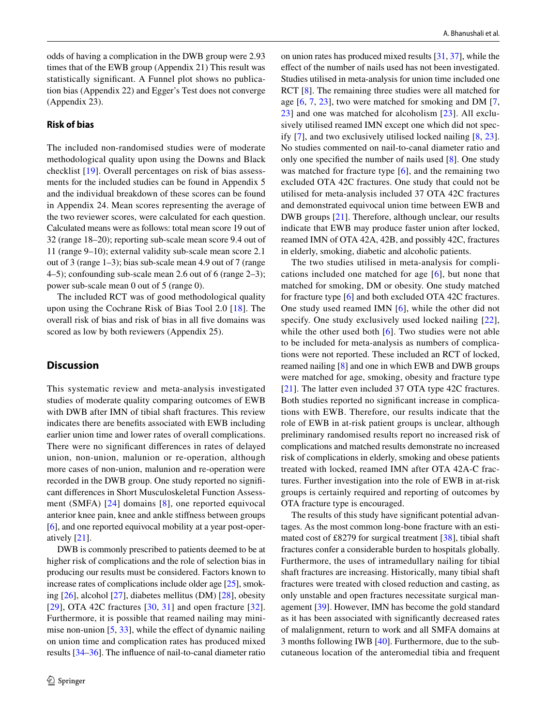odds of having a complication in the DWB group were 2.93 times that of the EWB group (Appendix 21) This result was statistically signifcant. A Funnel plot shows no publication bias (Appendix 22) and Egger's Test does not converge (Appendix 23).

# **Risk of bias**

The included non-randomised studies were of moderate methodological quality upon using the Downs and Black checklist [[19\]](#page-5-16). Overall percentages on risk of bias assessments for the included studies can be found in Appendix 5 and the individual breakdown of these scores can be found in Appendix 24. Mean scores representing the average of the two reviewer scores, were calculated for each question. Calculated means were as follows: total mean score 19 out of 32 (range 18–20); reporting sub-scale mean score 9.4 out of 11 (range 9–10); external validity sub-scale mean score 2.1 out of 3 (range 1–3); bias sub-scale mean 4.9 out of 7 (range 4–5); confounding sub-scale mean 2.6 out of 6 (range 2–3); power sub-scale mean 0 out of 5 (range 0).

The included RCT was of good methodological quality upon using the Cochrane Risk of Bias Tool 2.0 [[18](#page-5-15)]. The overall risk of bias and risk of bias in all fve domains was scored as low by both reviewers (Appendix 25).

### **Discussion**

This systematic review and meta-analysis investigated studies of moderate quality comparing outcomes of EWB with DWB after IMN of tibial shaft fractures. This review indicates there are benefts associated with EWB including earlier union time and lower rates of overall complications. There were no signifcant diferences in rates of delayed union, non-union, malunion or re-operation, although more cases of non-union, malunion and re-operation were recorded in the DWB group. One study reported no signifcant diferences in Short Musculoskeletal Function Assessment (SMFA) [[24\]](#page-5-21) domains [[8](#page-5-5)], one reported equivocal anterior knee pain, knee and ankle stifness between groups [\[6](#page-5-2)], and one reported equivocal mobility at a year post-operatively [[21](#page-5-18)].

DWB is commonly prescribed to patients deemed to be at higher risk of complications and the role of selection bias in producing our results must be considered. Factors known to increase rates of complications include older age [\[25\]](#page-5-22), smoking [[26\]](#page-5-23), alcohol [[27\]](#page-5-24), diabetes mellitus (DM) [[28\]](#page-5-25), obesity [[29\]](#page-5-26), OTA 42C fractures  $[30, 31]$  $[30, 31]$  $[30, 31]$  and open fracture  $[32]$  $[32]$  $[32]$ . Furthermore, it is possible that reamed nailing may minimise non-union  $[5, 33]$  $[5, 33]$  $[5, 33]$  $[5, 33]$ , while the effect of dynamic nailing on union time and complication rates has produced mixed results [\[34](#page-5-32)[–36](#page-5-33)]. The infuence of nail-to-canal diameter ratio

on union rates has produced mixed results [[31,](#page-5-28) [37](#page-5-34)], while the efect of the number of nails used has not been investigated. Studies utilised in meta-analysis for union time included one RCT [[8\]](#page-5-5). The remaining three studies were all matched for age [\[6,](#page-5-2) [7](#page-5-4), [23\]](#page-5-20), two were matched for smoking and DM [[7,](#page-5-4) [23](#page-5-20)] and one was matched for alcoholism [[23](#page-5-20)]. All exclusively utilised reamed IMN except one which did not specify [[7\]](#page-5-4), and two exclusively utilised locked nailing [[8,](#page-5-5) [23](#page-5-20)]. No studies commented on nail-to-canal diameter ratio and only one specifed the number of nails used [\[8](#page-5-5)]. One study was matched for fracture type [[6\]](#page-5-2), and the remaining two excluded OTA 42C fractures. One study that could not be utilised for meta-analysis included 37 OTA 42C fractures and demonstrated equivocal union time between EWB and DWB groups [\[21\]](#page-5-18). Therefore, although unclear, our results indicate that EWB may produce faster union after locked, reamed IMN of OTA 42A, 42B, and possibly 42C, fractures in elderly, smoking, diabetic and alcoholic patients.

The two studies utilised in meta-analysis for complications included one matched for age [[6](#page-5-2)], but none that matched for smoking, DM or obesity. One study matched for fracture type [\[6](#page-5-2)] and both excluded OTA 42C fractures. One study used reamed IMN [[6](#page-5-2)], while the other did not specify. One study exclusively used locked nailing [[22](#page-5-19)], while the other used both [[6](#page-5-2)]. Two studies were not able to be included for meta-analysis as numbers of complications were not reported. These included an RCT of locked, reamed nailing [[8\]](#page-5-5) and one in which EWB and DWB groups were matched for age, smoking, obesity and fracture type [[21\]](#page-5-18). The latter even included 37 OTA type 42C fractures. Both studies reported no signifcant increase in complications with EWB. Therefore, our results indicate that the role of EWB in at-risk patient groups is unclear, although preliminary randomised results report no increased risk of complications and matched results demonstrate no increased risk of complications in elderly, smoking and obese patients treated with locked, reamed IMN after OTA 42A-C fractures. Further investigation into the role of EWB in at-risk groups is certainly required and reporting of outcomes by OTA fracture type is encouraged.

The results of this study have signifcant potential advantages. As the most common long-bone fracture with an estimated cost of £8279 for surgical treatment [[38\]](#page-5-35), tibial shaft fractures confer a considerable burden to hospitals globally. Furthermore, the uses of intramedullary nailing for tibial shaft fractures are increasing. Historically, many tibial shaft fractures were treated with closed reduction and casting, as only unstable and open fractures necessitate surgical management [[39\]](#page-5-36). However, IMN has become the gold standard as it has been associated with signifcantly decreased rates of malalignment, return to work and all SMFA domains at 3 months following IWB [[40\]](#page-6-0). Furthermore, due to the subcutaneous location of the anteromedial tibia and frequent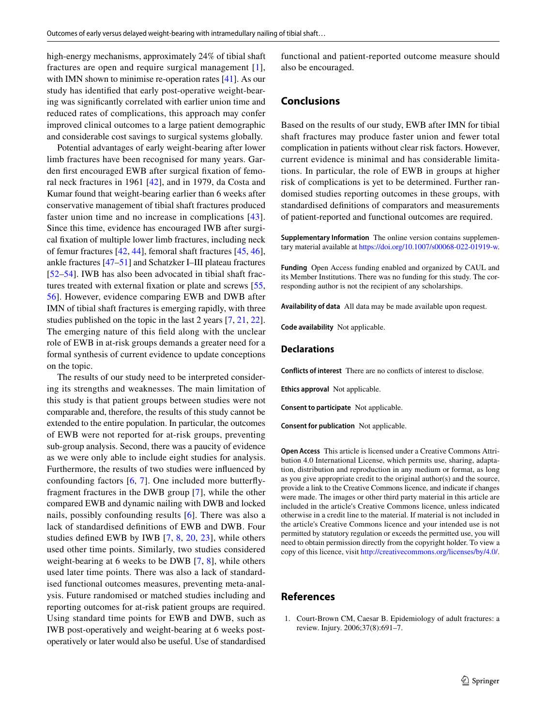high-energy mechanisms, approximately 24% of tibial shaft fractures are open and require surgical management [[1](#page-4-0)], with IMN shown to minimise re-operation rates [[41\]](#page-6-1). As our study has identifed that early post-operative weight-bearing was signifcantly correlated with earlier union time and reduced rates of complications, this approach may confer improved clinical outcomes to a large patient demographic and considerable cost savings to surgical systems globally.

Potential advantages of early weight-bearing after lower limb fractures have been recognised for many years. Garden frst encouraged EWB after surgical fxation of femoral neck fractures in 1961 [[42\]](#page-6-2), and in 1979, da Costa and Kumar found that weight-bearing earlier than 6 weeks after conservative management of tibial shaft fractures produced faster union time and no increase in complications [[43](#page-6-3)]. Since this time, evidence has encouraged IWB after surgical fxation of multiple lower limb fractures, including neck of femur fractures [[42,](#page-6-2) [44\]](#page-6-4), femoral shaft fractures [\[45](#page-6-5), [46](#page-6-6)], ankle fractures [[47–](#page-6-7)[51\]](#page-6-8) and Schatzker I–III plateau fractures [\[52–](#page-6-9)[54\]](#page-6-10). IWB has also been advocated in tibial shaft fractures treated with external fxation or plate and screws [[55,](#page-6-11) [56](#page-6-12)]. However, evidence comparing EWB and DWB after IMN of tibial shaft fractures is emerging rapidly, with three studies published on the topic in the last 2 years [\[7](#page-5-4), [21](#page-5-18), [22](#page-5-19)]. The emerging nature of this feld along with the unclear role of EWB in at-risk groups demands a greater need for a formal synthesis of current evidence to update conceptions on the topic.

The results of our study need to be interpreted considering its strengths and weaknesses. The main limitation of this study is that patient groups between studies were not comparable and, therefore, the results of this study cannot be extended to the entire population. In particular, the outcomes of EWB were not reported for at-risk groups, preventing sub-group analysis. Second, there was a paucity of evidence as we were only able to include eight studies for analysis. Furthermore, the results of two studies were infuenced by confounding factors [\[6](#page-5-2), [7](#page-5-4)]. One included more butterfyfragment fractures in the DWB group [[7\]](#page-5-4), while the other compared EWB and dynamic nailing with DWB and locked nails, possibly confounding results [[6\]](#page-5-2). There was also a lack of standardised defnitions of EWB and DWB. Four studies defned EWB by IWB [[7](#page-5-4), [8](#page-5-5), [20,](#page-5-17) [23\]](#page-5-20), while others used other time points. Similarly, two studies considered weight-bearing at 6 weeks to be DWB [\[7,](#page-5-4) [8\]](#page-5-5), while others used later time points. There was also a lack of standardised functional outcomes measures, preventing meta-analysis. Future randomised or matched studies including and reporting outcomes for at-risk patient groups are required. Using standard time points for EWB and DWB, such as IWB post-operatively and weight-bearing at 6 weeks postoperatively or later would also be useful. Use of standardised functional and patient-reported outcome measure should also be encouraged.

### **Conclusions**

Based on the results of our study, EWB after IMN for tibial shaft fractures may produce faster union and fewer total complication in patients without clear risk factors. However, current evidence is minimal and has considerable limitations. In particular, the role of EWB in groups at higher risk of complications is yet to be determined. Further randomised studies reporting outcomes in these groups, with standardised defnitions of comparators and measurements of patient-reported and functional outcomes are required.

**Supplementary Information** The online version contains supplementary material available at<https://doi.org/10.1007/s00068-022-01919-w>.

**Funding** Open Access funding enabled and organized by CAUL and its Member Institutions. There was no funding for this study. The corresponding author is not the recipient of any scholarships.

**Availability of data** All data may be made available upon request.

**Code availability** Not applicable.

#### **Declarations**

**Conflicts of interest** There are no conficts of interest to disclose.

**Ethics approval** Not applicable.

**Consent to participate** Not applicable.

**Consent for publication** Not applicable.

**Open Access** This article is licensed under a Creative Commons Attribution 4.0 International License, which permits use, sharing, adaptation, distribution and reproduction in any medium or format, as long as you give appropriate credit to the original author(s) and the source, provide a link to the Creative Commons licence, and indicate if changes were made. The images or other third party material in this article are included in the article's Creative Commons licence, unless indicated otherwise in a credit line to the material. If material is not included in the article's Creative Commons licence and your intended use is not permitted by statutory regulation or exceeds the permitted use, you will need to obtain permission directly from the copyright holder. To view a copy of this licence, visit<http://creativecommons.org/licenses/by/4.0/>.

#### **References**

<span id="page-4-0"></span>1. Court-Brown CM, Caesar B. Epidemiology of adult fractures: a review. Injury. 2006;37(8):691–7.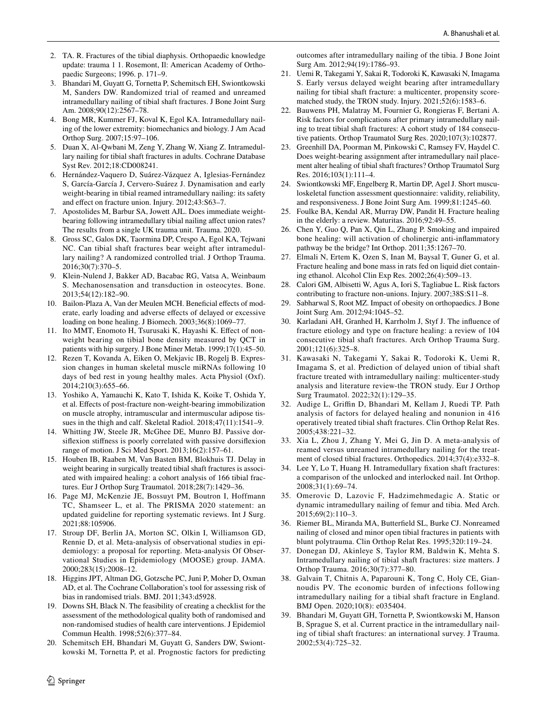- <span id="page-5-0"></span>2. TA. R. Fractures of the tibial diaphysis. Orthopaedic knowledge update: trauma 1 1. Rosemont, Il: American Academy of Orthopaedic Surgeons; 1996. p. 171–9.
- <span id="page-5-1"></span>3. Bhandari M, Guyatt G, Tornetta P, Schemitsch EH, Swiontkowski M, Sanders DW. Randomized trial of reamed and unreamed intramedullary nailing of tibial shaft fractures. J Bone Joint Surg Am. 2008;90(12):2567–78.
- <span id="page-5-3"></span>4. Bong MR, Kummer FJ, Koval K, Egol KA. Intramedullary nailing of the lower extremity: biomechanics and biology. J Am Acad Orthop Surg. 2007;15:97–106.
- <span id="page-5-30"></span>5. Duan X, Al-Qwbani M, Zeng Y, Zhang W, Xiang Z. Intramedullary nailing for tibial shaft fractures in adults. Cochrane Database Syst Rev. 2012;18:CD008241.
- <span id="page-5-2"></span>6. Hernández-Vaquero D, Suárez-Vázquez A, Iglesias-Fernández S, García-García J, Cervero-Suárez J. Dynamisation and early weight-bearing in tibial reamed intramedullary nailing: its safety and efect on fracture union. Injury. 2012;43:S63–7.
- <span id="page-5-4"></span>7. Apostolides M, Barbur SA, Jowett AJL. Does immediate weightbearing following intramedullary tibial nailing affect union rates? The results from a single UK trauma unit. Trauma. 2020.
- <span id="page-5-5"></span>8. Gross SC, Galos DK, Taormina DP, Crespo A, Egol KA, Tejwani NC. Can tibial shaft fractures bear weight after intramedullary nailing? A randomized controlled trial. J Orthop Trauma. 2016;30(7):370–5.
- <span id="page-5-6"></span>9. Klein-Nulend J, Bakker AD, Bacabac RG, Vatsa A, Weinbaum S. Mechanosensation and transduction in osteocytes. Bone. 2013;54(12):182–90.
- <span id="page-5-7"></span>10. Bailon-Plaza A, Van der Meulen MCH. Beneficial effects of moderate, early loading and adverse efects of delayed or excessive loading on bone healing. J Biomech. 2003;36(8):1069–77.
- <span id="page-5-8"></span>11. Ito MMT, Enomoto H, Tsurusaki K, Hayashi K. Efect of nonweight bearing on tibial bone density measured by QCT in patients with hip surgery. J Bone Miner Metab. 1999;17(1):45–50.
- <span id="page-5-9"></span>12. Rezen T, Kovanda A, Eiken O, Mekjavic IB, Rogelj B. Expression changes in human skeletal muscle miRNAs following 10 days of bed rest in young healthy males. Acta Physiol (Oxf). 2014;210(3):655–66.
- <span id="page-5-10"></span>13. Yoshiko A, Yamauchi K, Kato T, Ishida K, Koike T, Oshida Y, et al. Efects of post-fracture non-weight-bearing immobilization on muscle atrophy, intramuscular and intermuscular adipose tissues in the thigh and calf. Skeletal Radiol. 2018;47(11):1541–9.
- <span id="page-5-11"></span>14. Whitting JW, Steele JR, McGhee DE, Munro BJ. Passive dorsifexion stifness is poorly correlated with passive dorsifexion range of motion. J Sci Med Sport. 2013;16(2):157–61.
- <span id="page-5-12"></span>15. Houben IB, Raaben M, Van Basten BM, Blokhuis TJ. Delay in weight bearing in surgically treated tibial shaft fractures is associated with impaired healing: a cohort analysis of 166 tibial fractures. Eur J Orthop Surg Traumatol. 2018;28(7):1429–36.
- <span id="page-5-13"></span>16. Page MJ, McKenzie JE, Bossuyt PM, Boutron I, Hoffmann TC, Shamseer L, et al. The PRISMA 2020 statement: an updated guideline for reporting systematic reviews. Int J Surg. 2021;88:105906.
- <span id="page-5-14"></span>17. Stroup DF, Berlin JA, Morton SC, Olkin I, Williamson GD, Rennie D, et al. Meta-analysis of observational studies in epidemiology: a proposal for reporting. Meta-analysis Of Observational Studies in Epidemiology (MOOSE) group. JAMA. 2000;283(15):2008–12.
- <span id="page-5-15"></span>18. Higgins JPT, Altman DG, Gotzsche PC, Juni P, Moher D, Oxman AD, et al. The Cochrane Collaboration's tool for assessing risk of bias in randomised trials. BMJ. 2011;343:d5928.
- <span id="page-5-16"></span>19. Downs SH, Black N. The feasibility of creating a checklist for the assessment of the methodological quality both of randomised and non-randomised studies of health care interventions. J Epidemiol Commun Health. 1998;52(6):377–84.
- <span id="page-5-17"></span>20. Schemitsch EH, Bhandari M, Guyatt G, Sanders DW, Swiontkowski M, Tornetta P, et al. Prognostic factors for predicting

outcomes after intramedullary nailing of the tibia. J Bone Joint Surg Am. 2012;94(19):1786–93.

- <span id="page-5-18"></span>21. Uemi R, Takegami Y, Sakai R, Todoroki K, Kawasaki N, Imagama S. Early versus delayed weight bearing after intramedullary nailing for tibial shaft fracture: a multicenter, propensity scorematched study, the TRON study. Injury. 2021;52(6):1583–6.
- <span id="page-5-19"></span>22. Bauwens PH, Malatray M, Fournier G, Rongieras F, Bertani A. Risk factors for complications after primary intramedullary nailing to treat tibial shaft fractures: A cohort study of 184 consecutive patients. Orthop Traumatol Surg Res. 2020;107(3):102877.
- <span id="page-5-20"></span>23. Greenhill DA, Poorman M, Pinkowski C, Ramsey FV, Haydel C. Does weight-bearing assignment after intramedullary nail placement alter healing of tibial shaft fractures? Orthop Traumatol Surg Res. 2016;103(1):111–4.
- <span id="page-5-21"></span>24. Swiontkowski MF, Engelberg R, Martin DP, Agel J. Short musculoskeletal function assessment questionnaire: validity, reliability, and responsiveness. J Bone Joint Surg Am. 1999;81:1245–60.
- <span id="page-5-22"></span>25. Foulke BA, Kendal AR, Murray DW, Pandit H. Fracture healing in the elderly: a review. Maturitas. 2016;92:49–55.
- <span id="page-5-23"></span>26. Chen Y, Guo Q, Pan X, Qin L, Zhang P. Smoking and impaired bone healing: will activation of cholinergic anti-infammatory pathway be the bridge? Int Orthop. 2011;35:1267–70.
- <span id="page-5-24"></span>27. Elmali N, Ertem K, Ozen S, Inan M, Baysal T, Guner G, et al. Fracture healing and bone mass in rats fed on liquid diet containing ethanol. Alcohol Clin Exp Res. 2002;26(4):509–13.
- <span id="page-5-25"></span>28. Calori GM, Albisetti W, Agus A, Iori S, Tagliabue L. Risk factors contributing to fracture non-unions. Injury. 2007;38S:S11–8.
- <span id="page-5-26"></span>29. Sabharwal S, Root MZ. Impact of obesity on orthopaedics. J Bone Joint Surg Am. 2012;94:1045–52.
- <span id="page-5-27"></span>30. Karladani AH, Granhed H, Karrholm J, Styf J. The infuence of fracture etiology and type on fracture healing: a review of 104 consecutive tibial shaft fractures. Arch Orthop Trauma Surg. 2001;121(6):325–8.
- <span id="page-5-28"></span>31. Kawasaki N, Takegami Y, Sakai R, Todoroki K, Uemi R, Imagama S, et al. Prediction of delayed union of tibial shaft fracture treated with intramedullary nailing: multicenter-study analysis and literature review-the TRON study. Eur J Orthop Surg Traumatol. 2022;32(1):129–35.
- <span id="page-5-29"></span>32. Audige L, Grifn D, Bhandari M, Kellam J, Ruedi TP. Path analysis of factors for delayed healing and nonunion in 416 operatively treated tibial shaft fractures. Clin Orthop Relat Res. 2005;438:221–32.
- <span id="page-5-31"></span>33. Xia L, Zhou J, Zhang Y, Mei G, Jin D. A meta-analysis of reamed versus unreamed intramedullary nailing for the treatment of closed tibial fractures. Orthopedics. 2014;37(4):e332–8.
- <span id="page-5-32"></span>34. Lee Y, Lo T, Huang H. Intramedullary fxation shaft fractures: a comparison of the unlocked and interlocked nail. Int Orthop. 2008;31(1):69–74.
- 35. Omerovic D, Lazovic F, Hadzimehmedagic A. Static or dynamic intramedullary nailing of femur and tibia. Med Arch. 2015;69(2):110–3.
- <span id="page-5-33"></span>36. Riemer BL, Miranda MA, Butterfeld SL, Burke CJ. Nonreamed nailing of closed and minor open tibial fractures in patients with blunt polytrauma. Clin Orthop Relat Res. 1995;320:119–24.
- <span id="page-5-34"></span>37. Donegan DJ, Akinleye S, Taylor RM, Baldwin K, Mehta S. Intramedullary nailing of tibial shaft fractures: size matters. J Orthop Trauma. 2016;30(7):377–80.
- <span id="page-5-35"></span>38. Galvain T, Chitnis A, Paparouni K, Tong C, Holy CE, Giannoudis PV. The economic burden of infections following intramedullary nailing for a tibial shaft fracture in England. BMJ Open. 2020;10(8): e035404.
- <span id="page-5-36"></span>39. Bhandari M, Guyatt GH, Tornetta P, Swiontkowski M, Hanson B, Sprague S, et al. Current practice in the intramedullary nailing of tibial shaft fractures: an international survey. J Trauma. 2002;53(4):725–32.